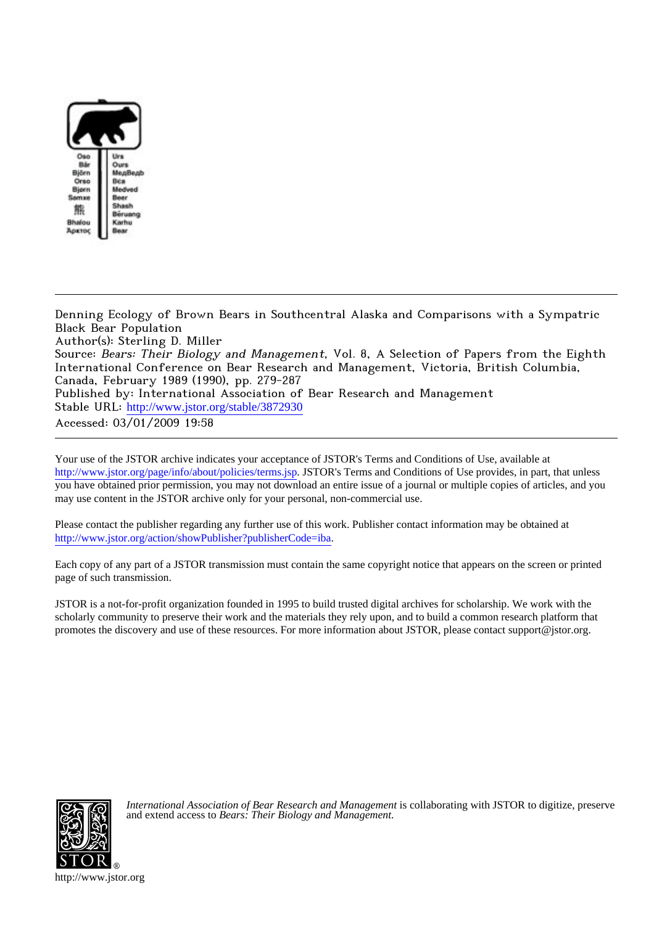

Denning Ecology of Brown Bears in Southcentral Alaska and Comparisons with a Sympatric Black Bear Population Author(s): Sterling D. Miller Source: Bears: Their Biology and Management, Vol. 8, A Selection of Papers from the Eighth International Conference on Bear Research and Management, Victoria, British Columbia, Canada, February 1989 (1990), pp. 279-287 Published by: International Association of Bear Research and Management Stable URL: [http://www.jstor.org/stable/3872930](http://www.jstor.org/stable/3872930?origin=JSTOR-pdf) Accessed: 03/01/2009 19:58

Your use of the JSTOR archive indicates your acceptance of JSTOR's Terms and Conditions of Use, available at <http://www.jstor.org/page/info/about/policies/terms.jsp>. JSTOR's Terms and Conditions of Use provides, in part, that unless you have obtained prior permission, you may not download an entire issue of a journal or multiple copies of articles, and you may use content in the JSTOR archive only for your personal, non-commercial use.

Please contact the publisher regarding any further use of this work. Publisher contact information may be obtained at <http://www.jstor.org/action/showPublisher?publisherCode=iba>.

Each copy of any part of a JSTOR transmission must contain the same copyright notice that appears on the screen or printed page of such transmission.

JSTOR is a not-for-profit organization founded in 1995 to build trusted digital archives for scholarship. We work with the scholarly community to preserve their work and the materials they rely upon, and to build a common research platform that promotes the discovery and use of these resources. For more information about JSTOR, please contact support@jstor.org.



*International Association of Bear Research and Management* is collaborating with JSTOR to digitize, preserve and extend access to *Bears: Their Biology and Management.*

http://www.jstor.org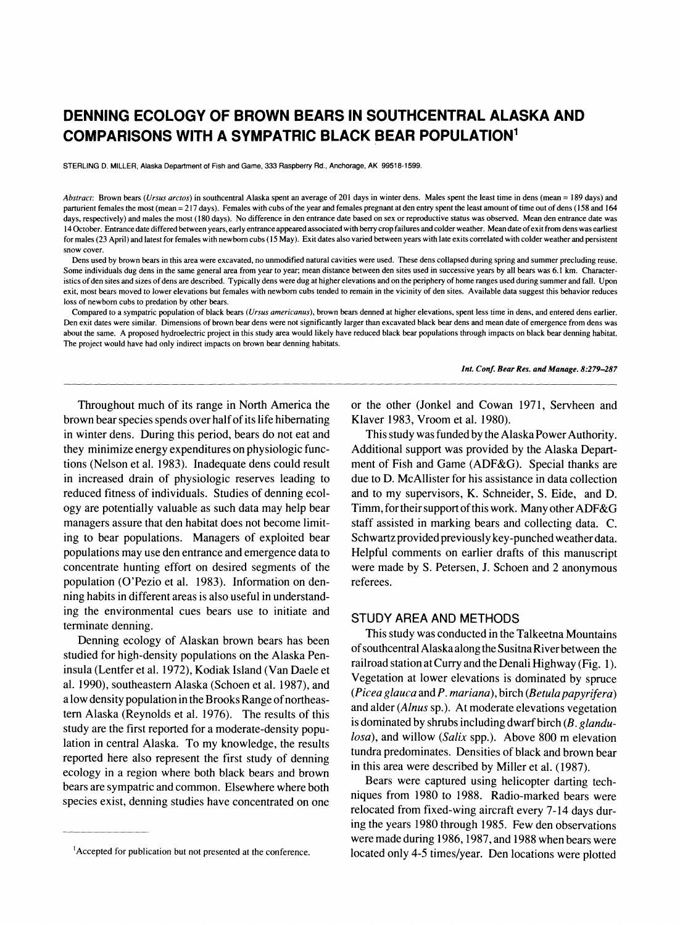# **DENNING ECOLOGY OF BROWN BEARS IN SOUTHCENTRAL ALASKA AND COMPARISONS WITH A SYMPATRIC BLACK BEAR POPULATION1**

**STERLING D. MILLER, Alaska Department of Fish and Game, 333 Raspberry Rd., Anchorage, AK 99518-1599.** 

**Abstract: Brown bears (Ursus arctos) in southcentral Alaska spent an average of 201 days in winter dens. Males spent the least time in dens (mean = 189 days) and parturient females the most (mean = 217 days). Females with cubs of the year and females pregnant at den entry spent the least amount of time out of dens (158 and 164**  days, respectively) and males the most (180 days). No difference in den entrance date based on sex or reproductive status was observed. Mean den entrance date was **14 October. Entrance date differed between years, early entrance appeared associated with berry crop failures and colder weather. Mean date of exit from dens was earliest for males (23 April) and latest for females with newborn cubs (15 May). Exit dates also varied between years with late exits correlated with colder weather and persistent snow cover.** 

**Dens used by brown bears in this area were excavated, no unmodified natural cavities were used. These dens collapsed during spring and summer precluding reuse.**  Some individuals dug dens in the same general area from year to year; mean distance between den sites used in successive years by all bears was 6.1 km. Characteristics of den sites and sizes of dens are described. Typically dens were dug at higher elevations and on the periphery of home ranges used during summer and fall. Upon **exit, most bears moved to lower elevations but females with newborn cubs tended to remain in the vicinity of den sites. Available data suggest this behavior reduces loss of newborn cubs to predation by other bears.** 

Compared to a sympatric population of black bears (*Ursus americanus*), brown bears denned at higher elevations, spent less time in dens, and entered dens earlier. **Den exit dates were similar. Dimensions of brown bear dens were not significantly larger than excavated black bear dens and mean date of emergence from dens was about the same. A proposed hydroelectric project in this study area would likely have reduced black bear populations through impacts on black bear denning habitat. The project would have had only indirect impacts on brown bear denning habitats.** 

**Int. Conf. Bear Res. and Manage. 8:279-287** 

**Throughout much of its range in North America the brown bear species spends over half of its life hibernating in winter dens. During this period, bears do not eat and they minimize energy expenditures on physiologic functions (Nelson et al. 1983). Inadequate dens could result in increased drain of physiologic reserves leading to reduced fitness of individuals. Studies of denning ecology are potentially valuable as such data may help bear managers assure that den habitat does not become limiting to bear populations. Managers of exploited bear populations may use den entrance and emergence data to concentrate hunting effort on desired segments of the population (O'Pezio et al. 1983). Information on denning habits in different areas is also useful in understanding the environmental cues bears use to initiate and terminate denning.** 

**Denning ecology of Alaskan brown bears has been studied for high-density populations on the Alaska Peninsula (Lentfer et al. 1972), Kodiak Island (Van Daele et al. 1990), southeastern Alaska (Schoen et al. 1987), and a low density population in the Brooks Range of northeastern Alaska (Reynolds et al. 1976). The results of this study are the first reported for a moderate-density population in central Alaska. To my knowledge, the results reported here also represent the first study of denning ecology in a region where both black bears and brown bears are sympatric and common. Elsewhere where both species exist, denning studies have concentrated on one** 

**or the other (Jonkel and Cowan 1971, Servheen and Klaver 1983, Vroom et al. 1980).** 

**This study was funded by the Alaska Power Authority. Additional support was provided by the Alaska Department of Fish and Game (ADF&G). Special thanks are due to D. McAllister for his assistance in data collection and to my supervisors, K. Schneider, S. Eide, and D. Timm, for their support of this work. Many other ADF&G staff assisted in marking bears and collecting data. C. Schwartz provided previously key-punched weather data. Helpful comments on earlier drafts of this manuscript were made by S. Petersen, J. Schoen and 2 anonymous referees.** 

# **STUDY AREA AND METHODS**

**This study was conducted in the Talkeetna Mountains of southcentral Alaska along the Susitna River between the railroad station at Curry and the Denali Highway (Fig. 1). Vegetation at lower elevations is dominated by spruce (Picea glauca and P. mariana), birch (Betula papyrifera) and alder (Alnus sp.). At moderate elevations vegetation is dominated by shrubs including dwarf birch (B. glandulosa), and willow (Salix spp.). Above 800 m elevation tundra predominates. Densities of black and brown bear in this area were described by Miller et al. (1987).** 

**Bears were captured using helicopter darting techniques from 1980 to 1988. Radio-marked bears were relocated from fixed-wing aircraft every 7-14 days during the years 1980 through 1985. Few den observations were made during 1986, 1987, and 1988 when bears were located only 4-5 times/year. Den locations were plotted** 

**<sup>&#</sup>x27;Accepted for publication but not presented at the conference.**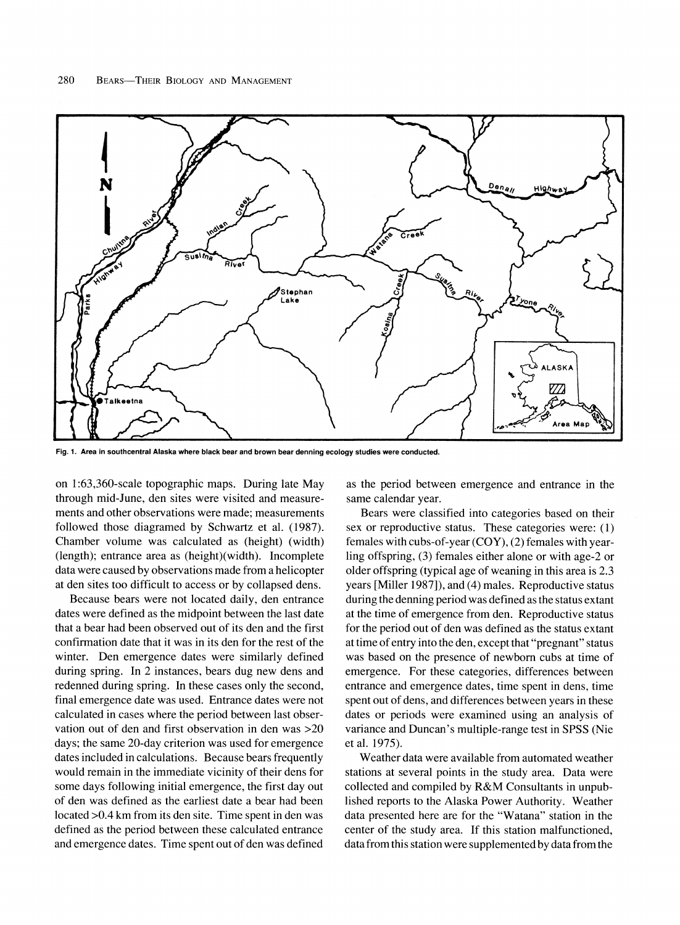

**Fig. 1. Area in southcentral Alaska where black bear and brown bear denning ecology studies were conducted.** 

**on 1:63,360-scale topographic maps. During late May through mid-June, den sites were visited and measurements and other observations were made; measurements followed those diagramed by Schwartz et al. (1987). Chamber volume was calculated as (height) (width) (length); entrance area as (height)(width). Incomplete data were caused by observations made from a helicopter at den sites too difficult to access or by collapsed dens.** 

**Because bears were not located daily, den entrance dates were defined as the midpoint between the last date that a bear had been observed out of its den and the first confirmation date that it was in its den for the rest of the winter. Den emergence dates were similarly defined during spring. In 2 instances, bears dug new dens and redenned during spring. In these cases only the second, final emergence date was used. Entrance dates were not calculated in cases where the period between last observation out of den and first observation in den was >20 days; the same 20-day criterion was used for emergence dates included in calculations. Because bears frequently would remain in the immediate vicinity of their dens for some days following initial emergence, the first day out of den was defined as the earliest date a bear had been located >0.4 km from its den site. Time spent in den was defined as the period between these calculated entrance and emergence dates. Time spent out of den was defined**  **as the period between emergence and entrance in the same calendar year.** 

**Bears were classified into categories based on their sex or reproductive status. These categories were: (1) females with cubs-of-year (COY), (2) females with yearling offspring, (3) females either alone or with age-2 or older offspring (typical age of weaning in this area is 2.3 years [Miller 1987]), and (4) males. Reproductive status during the denning period was defined as the status extant at the time of emergence from den. Reproductive status for the period out of den was defined as the status extant at time of entry into the den, except that "pregnant" status was based on the presence of newborn cubs at time of emergence. For these categories, differences between entrance and emergence dates, time spent in dens, time spent out of dens, and differences between years in these dates or periods were examined using an analysis of variance and Duncan's multiple-range test in SPSS (Nie et al. 1975).** 

**Weather data were available from automated weather stations at several points in the study area. Data were collected and compiled by R&M Consultants in unpublished reports to the Alaska Power Authority. Weather data presented here are for the "Watana" station in the center of the study area. If this station malfunctioned, data from this station were supplemented by data from the**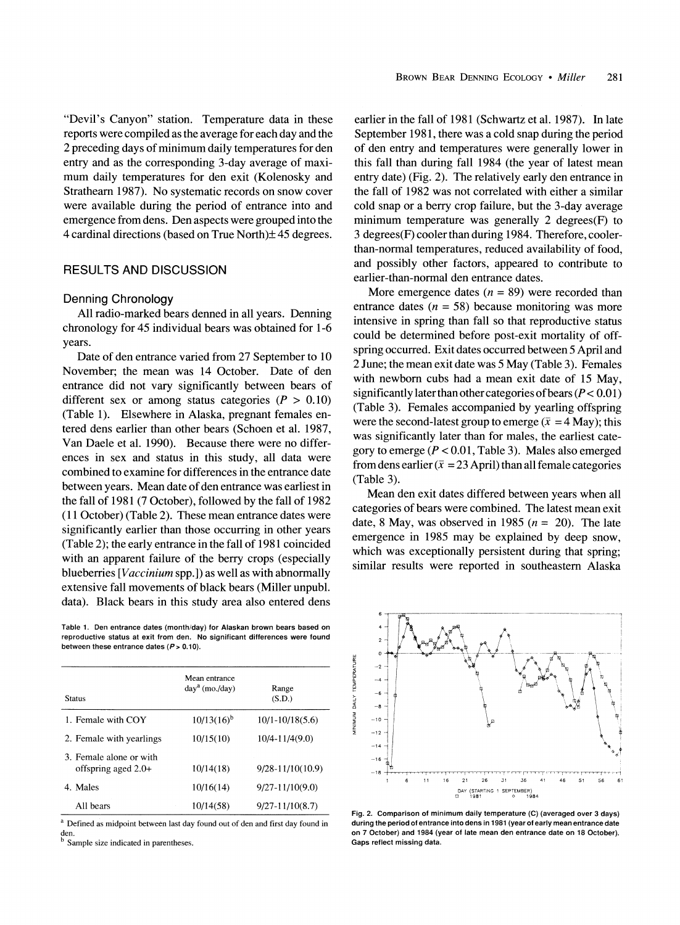**mum daily temperatures for den exit (Kolenosky and Strathearn 1987). No systematic records on snow cover were available during the period of entrance into and emergence from dens. Den aspects were grouped into the**  4 cardinal directions (based on True North) $\pm$  45 degrees.

# **RESULTS AND DISCUSSION**

#### **Denning Chronology**

**All radio-marked bears denned in all years. Denning chronology for 45 individual bears was obtained for 1-6 years.** 

**Date of den entrance varied from 27 September to 10 November; the mean was 14 October. Date of den entrance did not vary significantly between bears of**  different sex or among status categories  $(P > 0.10)$ **(Table 1). Elsewhere in Alaska, pregnant females entered dens earlier than other bears (Schoen et al. 1987, Van Daele et al. 1990). Because there were no differences in sex and status in this study, all data were combined to examine for differences in the entrance date between years. Mean date of den entrance was earliest in the fall of 1981 (7 October), followed by the fall of 1982 (11 October) (Table 2). These mean entrance dates were significantly earlier than those occurring in other years (Table 2); the early entrance in the fall of 1981 coincided with an apparent failure of the berry crops (especially blueberries [Vaccinium spp.]) as well as with abnormally extensive fall movements of black bears (Miller unpubl. data). Black bears in this study area also entered dens** 

**Table 1. Den entrance dates (month/day) for Alaskan brown bears based on reproductive status at exit from den. No significant differences were found between these entrance dates (P> 0.10).** 

| Status                                           | Mean entrance<br>$daya$ (mo./day) | Range<br>(S.D.)      |
|--------------------------------------------------|-----------------------------------|----------------------|
| 1. Female with COY                               | $10/13(16)^{b}$                   | $10/1 - 10/18(5.6)$  |
| 2. Female with yearlings                         | 10/15(10)                         | 10/4-11/4(9.0)       |
| 3. Female alone or with<br>offspring aged $2.0+$ | 10/14(18)                         | $9/28 - 11/10(10.9)$ |
| 4. Males                                         | 10/16(14)                         | $9/27 - 11/10(9.0)$  |
| All bears                                        | 10/14(58)                         | $9/27 - 11/10(8.7)$  |

**a Defined as midpoint between last day found out of den and first day found in den.** 

**b Sample size indicated in parentheses.** 

**earlier in the fall of 1981 (Schwartz et al. 1987). In late September 1981, there was a cold snap during the period of den entry and temperatures were generally lower in this fall than during fall 1984 (the year of latest mean entry date) (Fig. 2). The relatively early den entrance in the fall of 1982 was not correlated with either a similar cold snap or a berry crop failure, but the 3-day average minimum temperature was generally 2 degrees(F) to 3 degrees(F) cooler than during 1984. Therefore, coolerthan-normal temperatures, reduced availability of food, and possibly other factors, appeared to contribute to earlier-than-normal den entrance dates.** 

More emergence dates  $(n = 89)$  were recorded than entrance dates  $(n = 58)$  because monitoring was more **intensive in spring than fall so that reproductive status could be determined before post-exit mortality of offspring occurred. Exit dates occurred between 5 April and 2 June; the mean exit date was 5 May (Table 3). Females with newborn cubs had a mean exit date of 15 May, significantly later than other categories of bears (P < 0.01) (Table 3). Females accompanied by yearling offspring**  were the second-latest group to emerge  $(\bar{x} = 4$  May); this **was significantly later than for males, the earliest category to emerge (P < 0.01, Table 3). Males also emerged**  from dens earlier  $(\bar{x} = 23$  April) than all female categories **(Table 3).** 

**Mean den exit dates differed between years when all categories of bears were combined. The latest mean exit**  date, 8 May, was observed in 1985  $(n = 20)$ . The late **emergence in 1985 may be explained by deep snow, which was exceptionally persistent during that spring; similar results were reported in southeastern Alaska** 



**Fig. 2. Comparison of minimum daily temperature (C) (averaged over 3 days) during the period of entrance into dens in 1981 (year of early mean entrance date on 7 October) and 1984 (year of late mean den entrance date on 18 October). Gaps reflect missing data.**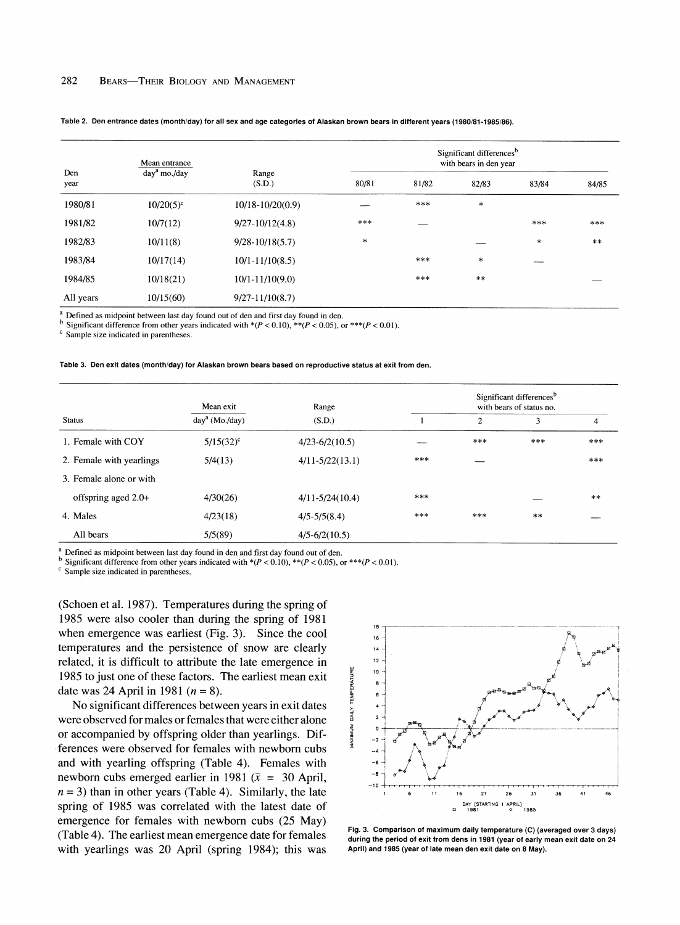|             | Mean entrance  |                      | Significant differences <sup>b</sup><br>with bears in den year |       |        |        |            |  |
|-------------|----------------|----------------------|----------------------------------------------------------------|-------|--------|--------|------------|--|
| Den<br>year | $daya$ mo./day | Range<br>(S.D.)      | 80/81                                                          | 81/82 | 82/83  | 83/84  | 84/85      |  |
| 1980/81     | $10/20(5)^c$   | $10/18 - 10/20(0.9)$ |                                                                | $***$ | $\ast$ |        |            |  |
| 1981/82     | 10/7(12)       | $9/27 - 10/12(4.8)$  | ***                                                            |       |        | $***$  | $***$      |  |
| 1982/83     | 10/11(8)       | $9/28 - 10/18(5.7)$  | $\ast$                                                         |       | ----   | $\ast$ | $\ast\ast$ |  |
| 1983/84     | 10/17(14)      | $10/1 - 11/10(8.5)$  |                                                                | ***   | $\ast$ |        |            |  |
| 1984/85     | 10/18(21)      | $10/1 - 11/10(9.0)$  |                                                                | ***   | $**$   |        |            |  |
| All years   | 10/15(60)      | $9/27 - 11/10(8.7)$  |                                                                |       |        |        |            |  |

#### **Table 2. Den entrance dates (month/day) for all sex and age categories of Alaskan brown bears in different years (1980/81-1985/86).**

**a** Defined as midpoint between last day found out of den and first day found in den.

Significant difference from other years indicated with  $*(P < 0.10)$ ,  $** (P < 0.05)$ , or  $*** (P < 0.01)$ .

**c Sample size indicated in parentheses.** 

#### **Table 3. Den exit dates (month/day) for Alaskan brown bears based on reproductive status at exit from den.**

|                          | Mean exit                 | Range               | Significant differences <sup>b</sup><br>with bears of status no. |                |       |       |
|--------------------------|---------------------------|---------------------|------------------------------------------------------------------|----------------|-------|-------|
| <b>Status</b>            | day <sup>a</sup> (Mo/day) | (S.D.)              |                                                                  | $\overline{2}$ | 3     | 4     |
| 1. Female with COY       | $5/15(32)^c$              | $4/23 - 6/2(10.5)$  |                                                                  | $***$          | $***$ | ***   |
| 2. Female with yearlings | 5/4(13)                   | $4/11 - 5/22(13.1)$ | ***                                                              |                |       | ***   |
| 3. Female alone or with  |                           |                     |                                                                  |                |       |       |
| offspring aged $2.0+$    | 4/30(26)                  | $4/11 - 5/24(10.4)$ | $***$                                                            |                |       | $***$ |
| 4. Males                 | 4/23(18)                  | $4/5 - 5/5(8.4)$    | $***$                                                            | ***            | $***$ |       |
| All bears                | 5/5(89)                   | $4/5 - 6/2(10.5)$   |                                                                  |                |       |       |

<sup>a</sup> Defined as midpoint between last day found in den and first day found out of den.<br><sup>b</sup> Significant difference from other years indicated with \*(P < 0.10), \*\*(P < 0.05), or \*\*\*(P < 0.01).

**c Sample size indicated in parentheses.** 

**(Schoen et al. 1987). Temperatures during the spring of 1985 were also cooler than during the spring of 1981 when emergence was earliest (Fig. 3). Since the cool temperatures and the persistence of snow are clearly related, it is difficult to attribute the late emergence in 1985 to just one of these factors. The earliest mean exit**  date was 24 April in 1981 ( $n = 8$ ).

**No significant differences between years in exit dates were observed for males or females that were either alone or accompanied by offspring older than yearlings. Differences were observed for females with newborn cubs and with yearling offspring (Table 4). Females with**  newborn cubs emerged earlier in 1981 ( $\bar{x}$  = 30 April, **n = 3) than in other years (Table 4). Similarly, the late spring of 1985 was correlated with the latest date of emergence for females with newborn cubs (25 May) (Table 4). The earliest mean emergence date for females with yearlings was 20 April (spring 1984); this was** 



**Fig. 3. Comparison of maximum daily temperature (C) (averaged over 3 days) during the period of exit from dens in 1981 (year of early mean exit date on 24 April) and 1985 (year of late mean den exit date on 8 May).**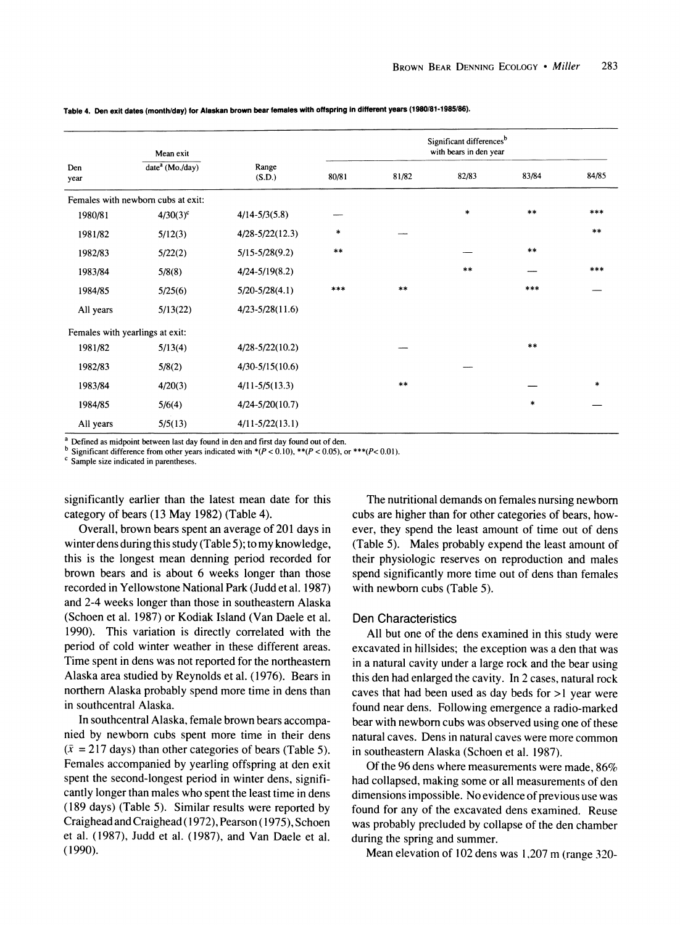|                                 | Mean exit                          |                     | Significant differences <sup>b</sup><br>with bears in den year |                 |        |            |        |
|---------------------------------|------------------------------------|---------------------|----------------------------------------------------------------|-----------------|--------|------------|--------|
| Den<br>year                     | date <sup>a</sup> (Mo./day)        | Range<br>(S.D.)     | 80/81                                                          | 81/82           | 82/83  | 83/84      | 84/85  |
|                                 | Females with newborn cubs at exit: |                     |                                                                |                 |        |            |        |
| 1980/81                         | $4/30(3)^c$                        | $4/14 - 5/3(5.8)$   |                                                                |                 | $\ast$ | $\ast\ast$ | $***$  |
| 1981/82                         | 5/12(3)                            | $4/28 - 5/22(12.3)$ | $\ast$                                                         |                 |        |            | $***$  |
| 1982/83                         | 5/22(2)                            | $5/15 - 5/28(9.2)$  | $\ast\ast$                                                     |                 |        | $***$      |        |
| 1983/84                         | 5/8(8)                             | $4/24 - 5/19(8.2)$  |                                                                |                 | $***$  |            | $***$  |
| 1984/85                         | 5/25(6)                            | $5/20 - 5/28(4.1)$  | $***$                                                          | $***$           |        | $***$      |        |
| All years                       | 5/13(22)                           | $4/23 - 5/28(11.6)$ |                                                                |                 |        |            |        |
| Females with yearlings at exit: |                                    |                     |                                                                |                 |        |            |        |
| 1981/82                         | 5/13(4)                            | $4/28 - 5/22(10.2)$ |                                                                |                 |        | $\ast\ast$ |        |
| 1982/83                         | 5/8(2)                             | $4/30 - 5/15(10.6)$ |                                                                |                 |        |            |        |
| 1983/84                         | 4/20(3)                            | $4/11 - 5/5(13.3)$  |                                                                | $\star$ $\star$ |        |            | $\ast$ |
| 1984/85                         | 5/6(4)                             | $4/24 - 5/20(10.7)$ |                                                                |                 |        | $\ast$     |        |
| All years                       | 5/5(13)                            | $4/11 - 5/22(13.1)$ |                                                                |                 |        |            |        |

**Table 4. Den exit dates (month/day) for Alaskan brown bear females with offspring in different years (1980/81-1985/86).** 

<sup>a</sup> Defined as midpoint between last day found in den and first day found out of den.<br><sup>b</sup> Significant difference from other years indicated with \*(P < 0.10), \*\*(P < 0.05), or \*\*\*(P< 0.01).

**c Sample size indicated in parentheses.** 

**significantly earlier than the latest mean date for this category of bears (13 May 1982) (Table 4).** 

**Overall, brown bears spent an average of 201 days in winter dens during this study (Table 5); to my knowledge, this is the longest mean denning period recorded for brown bears and is about 6 weeks longer than those recorded in Yellowstone National Park (Judd et al. 1987) and 2-4 weeks longer than those in southeastern Alaska (Schoen et al. 1987) or Kodiak Island (Van Daele et al. 1990). This variation is directly correlated with the period of cold winter weather in these different areas. Time spent in dens was not reported for the northeastern Alaska area studied by Reynolds et al. (1976). Bears in northern Alaska probably spend more time in dens than in southcentral Alaska.** 

**In southcentral Alaska, female brown bears accompanied by newborn cubs spent more time in their dens**   $(\bar{x} = 217 \text{ days})$  than other categories of bears (Table 5). **Females accompanied by yearling offspring at den exit spent the second-longest period in winter dens, significantly longer than males who spent the least time in dens (189 days) (Table 5). Similar results were reported by Craighead and Craighead (1972), Pearson (1975), Schoen et al. (1987), Judd et al. (1987), and Van Daele et al. (1990).** 

**The nutritional demands on females nursing newborn cubs are higher than for other categories of bears, however, they spend the least amount of time out of dens (Table 5). Males probably expend the least amount of their physiologic reserves on reproduction and males spend significantly more time out of dens than females with newborn cubs (Table 5).** 

# **Den Characteristics**

**All but one of the dens examined in this study were excavated in hillsides; the exception was a den that was in a natural cavity under a large rock and the bear using this den had enlarged the cavity. In 2 cases, natural rock caves that had been used as day beds for >1 year were found near dens. Following emergence a radio-marked bear with newborn cubs was observed using one of these natural caves. Dens in natural caves were more common in southeastern Alaska (Schoen et al. 1987).** 

**Of the 96 dens where measurements were made, 86% had collapsed, making some or all measurements of den dimensions impossible. No evidence of previous use was found for any of the excavated dens examined. Reuse was probably precluded by collapse of the den chamber during the spring and summer.** 

**Mean elevation of 102 dens was 1,207 m (range 320-**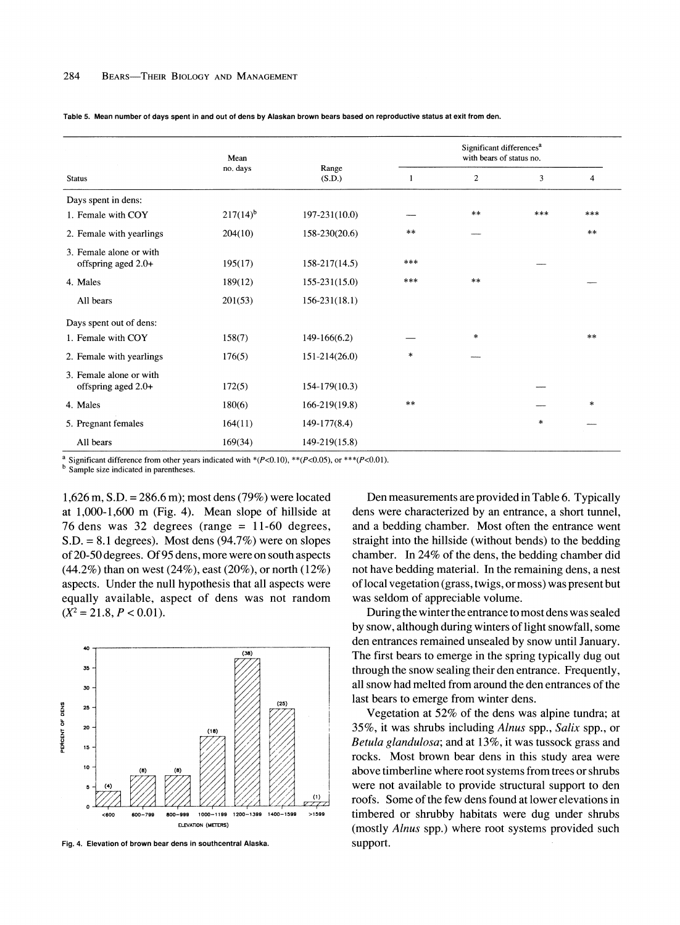|                                                  | Mean                        |                   | Significant differences <sup>a</sup><br>with bears of status no. |            |                |        |
|--------------------------------------------------|-----------------------------|-------------------|------------------------------------------------------------------|------------|----------------|--------|
| <b>Status</b>                                    | no. days<br>Range<br>(S.D.) | 1                 | $\overline{c}$                                                   | 3          | $\overline{4}$ |        |
| Days spent in dens:                              |                             |                   |                                                                  |            |                |        |
| 1. Female with COY                               | $217(14)^{b}$               | 197-231(10.0)     |                                                                  | $**$       | ***            | ***    |
| 2. Female with yearlings                         | 204(10)                     | $158 - 230(20.6)$ | $***$                                                            |            |                | $***$  |
| 3. Female alone or with<br>offspring aged $2.0+$ | 195(17)                     | $158 - 217(14.5)$ | $***$                                                            |            |                |        |
| 4. Males                                         | 189(12)                     | $155 - 231(15.0)$ | ***                                                              | $\ast\ast$ |                |        |
| All bears                                        | 201(53)                     | $156 - 231(18.1)$ |                                                                  |            |                |        |
| Days spent out of dens:                          |                             |                   |                                                                  |            |                |        |
| 1. Female with COY                               | 158(7)                      | $149-166(6.2)$    |                                                                  | $\ast$     |                | **     |
| 2. Female with yearlings                         | 176(5)                      | $151 - 214(26.0)$ | $\ast$                                                           |            |                |        |
| 3. Female alone or with<br>offspring aged $2.0+$ | 172(5)                      | $154-179(10.3)$   |                                                                  |            |                |        |
| 4. Males                                         | 180(6)                      | $166 - 219(19.8)$ | **                                                               |            |                | $\ast$ |
| 5. Pregnant females                              | 164(11)                     | $149-177(8.4)$    |                                                                  |            | $\star$        |        |
| All bears                                        | 169(34)                     | 149-219(15.8)     |                                                                  |            |                |        |

**Table 5. Mean number of days spent in and out of dens by Alaskan brown bears based on reproductive status at exit from den.** 

Significant difference from other years indicated with  $*(P<0.10)$ ,  $**(P<0.05)$ , or  $***(P<0.01)$ .

**b** Sample size indicated in parentheses.

**1,626 m, S.D. = 286.6 m); most dens (79%) were located at 1,000-1,600 m (Fig. 4). Mean slope of hillside at 76 dens was 32 degrees (range = 11-60 degrees, S.D. = 8.1 degrees). Most dens (94.7%) were on slopes of 20-50 degrees. Of 95 dens, more were on south aspects (44.2%) than on west (24%), east (20%), or north (12%) aspects. Under the null hypothesis that all aspects were equally available, aspect of dens was not random**   $(X^2 = 21.8, P < 0.01)$ .



**Fig. 4. Elevation of brown bear dens in southcentral Alaska.** 

**Den measurements are provided in Table 6. Typically dens were characterized by an entrance, a short tunnel, and a bedding chamber. Most often the entrance went straight into the hillside (without bends) to the bedding chamber. In 24% of the dens, the bedding chamber did not have bedding material. In the remaining dens, a nest of local vegetation (grass, twigs, or moss) was present but was seldom of appreciable volume.** 

**During the winter the entrance to most dens was sealed by snow, although during winters of light snowfall, some den entrances remained unsealed by snow until January. The first bears to emerge in the spring typically dug out through the snow sealing their den entrance. Frequently, all snow had melted from around the den entrances of the last bears to emerge from winter dens.** 

**Vegetation at 52% of the dens was alpine tundra; at 35%, it was shrubs including Alnus spp., Salix spp., or Betula glandulosa; and at 13%, it was tussock grass and rocks. Most brown bear dens in this study area were above timberline where root systems from trees or shrubs were not available to provide structural support to den roofs. Some of the few dens found at lower elevations in timbered or shrubby habitats were dug under shrubs (mostly Alnus spp.) where root systems provided such support.**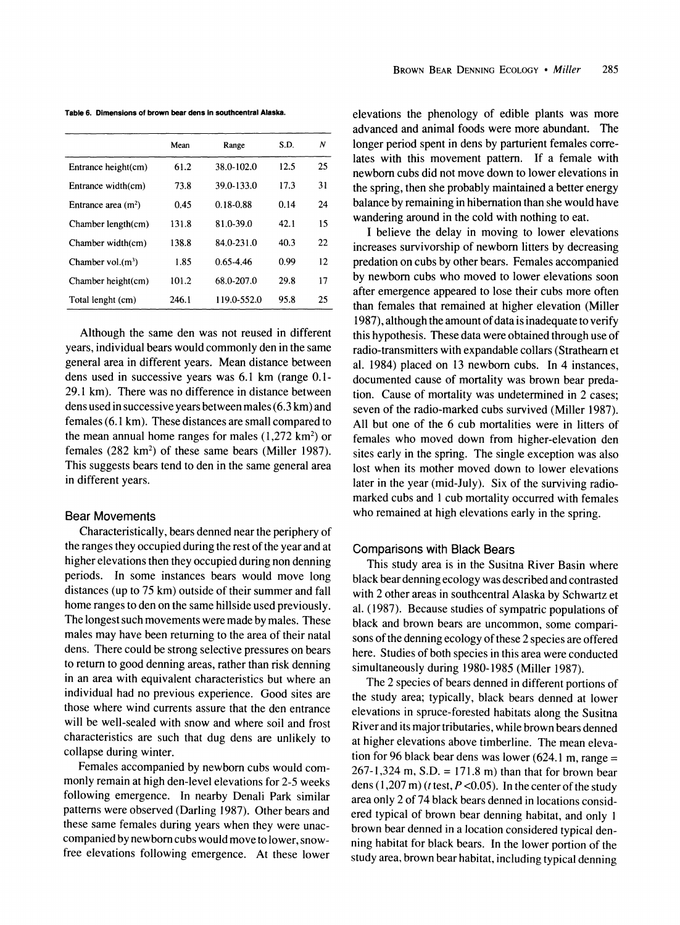**Table 6. Dimensions of brown bear dens in southcentral Alaska.** 

|                      | Mean  | Range         | S.D. | Ν   |
|----------------------|-------|---------------|------|-----|
| Entrance height(cm)  | 61.2  | 38.0-102.0    | 12.5 | 25  |
| Entrance width(cm)   | 73.8  | 39.0-133.0    | 17.3 | 31  |
| Entrance area $(m2)$ | 0.45  | 0.18-0.88     | 0.14 | 24  |
| Chamber length(cm)   | 131.8 | 81.0-39.0     | 42.1 | 15  |
| Chamber width(cm)    | 138.8 | 84.0-231.0    | 40.3 | 22  |
| Chamber vol. $(m3)$  | 1.85  | $0.65 - 4.46$ | 0.99 | 12. |
| Chamber height(cm)   | 101.2 | 68.0-207.0    | 29.8 | 17  |
| Total lenght (cm)    | 246.1 | 119.0-552.0   | 95.8 | 25  |

**Although the same den was not reused in different years, individual bears would commonly den in the same general area in different years. Mean distance between dens used in successive years was 6.1 km (range 0.1- 29.1 km). There was no difference in distance between dens used in successive years between males (6.3 km) and females (6.1 km). These distances are small compared to the mean annual home ranges for males (1,272 km2) or**  females (282 km<sup>2</sup>) of these same bears (Miller 1987). **This suggests bears tend to den in the same general area in different years.** 

### **Bear Movements**

**Characteristically, bears denned near the periphery of the ranges they occupied during the rest of the year and at higher elevations then they occupied during non denning periods. In some instances bears would move long distances (up to 75 km) outside of their summer and fall home ranges to den on the same hillside used previously. The longest such movements were made by males. These males may have been returning to the area of their natal dens. There could be strong selective pressures on bears to return to good denning areas, rather than risk denning in an area with equivalent characteristics but where an individual had no previous experience. Good sites are those where wind currents assure that the den entrance will be well-sealed with snow and where soil and frost characteristics are such that dug dens are unlikely to collapse during winter.** 

**Females accompanied by newborn cubs would commonly remain at high den-level elevations for 2-5 weeks following emergence. In nearby Denali Park similar patterns were observed (Darling 1987). Other bears and these same females during years when they were unaccompanied by newborn cubs would move to lower, snowfree elevations following emergence. At these lower** 

**elevations the phenology of edible plants was more advanced and animal foods were more abundant. The longer period spent in dens by parturient females correlates with this movement pattern. If a female with newborn cubs did not move down to lower elevations in the spring, then she probably maintained a better energy balance by remaining in hibernation than she would have wandering around in the cold with nothing to eat.** 

**I believe the delay in moving to lower elevations increases survivorship of newborn litters by decreasing predation on cubs by other bears. Females accompanied by newborn cubs who moved to lower elevations soon after emergence appeared to lose their cubs more often than females that remained at higher elevation (Miller 1987), although the amount of data is inadequate to verify this hypothesis. These data were obtained through use of**  radio-transmitters with expandable collars (Strathearn et **al. 1984) placed on 13 newborn cubs. In 4 instances, documented cause of mortality was brown bear predation. Cause of mortality was undetermined in 2 cases; seven of the radio-marked cubs survived (Miller 1987). All but one of the 6 cub mortalities were in litters of females who moved down from higher-elevation den sites early in the spring. The single exception was also lost when its mother moved down to lower elevations later in the year (mid-July). Six of the surviving radiomarked cubs and I cub mortality occurred with females who remained at high elevations early in the spring.** 

#### **Comparisons with Black Bears**

**This study area is in the Susitna River Basin where black bear denning ecology was described and contrasted with 2 other areas in southcentral Alaska by Schwartz et al. (1987). Because studies of sympatric populations of black and brown bears are uncommon, some comparisons of the denning ecology of these 2 species are offered here. Studies of both species in this area were conducted simultaneously during 1980-1985 (Miller 1987).** 

**The 2 species of bears denned in different portions of the study area; typically, black bears denned at lower elevations in spruce-forested habitats along the Susitna River and its major tributaries, while brown bears denned at higher elevations above timberline. The mean elevation for 96 black bear dens was lower (624.1 m, range = 267-1,324 m, S.D. = 171.8 m) than that for brown bear dens ( 1,207 m) (t test, P <0.05). In the center of the study area only 2 of 74 black bears denned in locations considered typical of brown bear denning habitat, and only 1 brown bear denned in a location considered typical denning habitat for black bears. In the lower portion of the study area, brown bear habitat, including typical denning**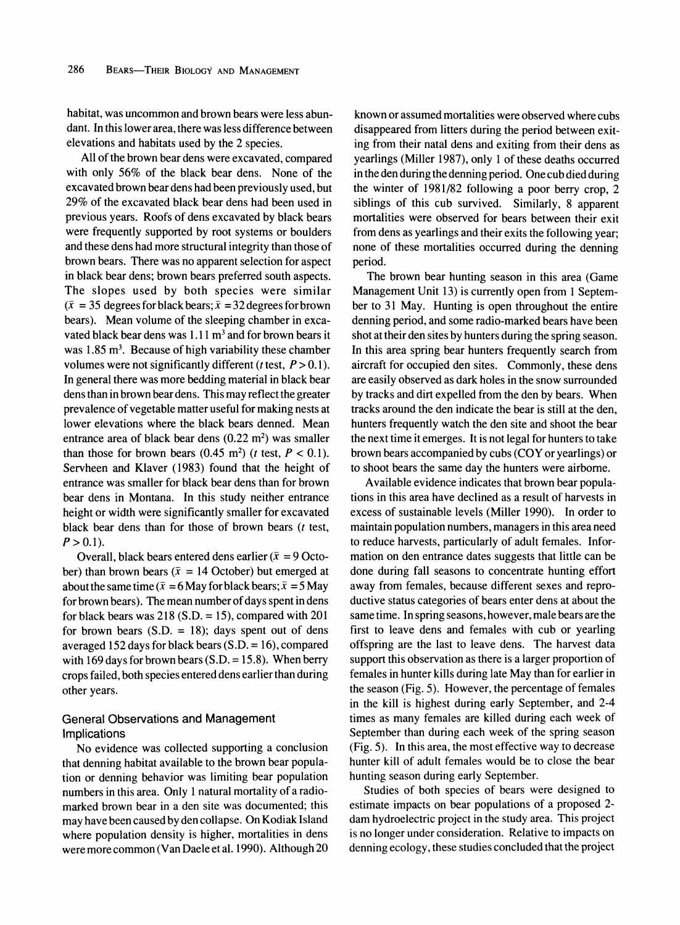**habitat, was uncommon and brown bears were less abundant. In this lower area, there was less difference between elevations and habitats used by the 2 species.** 

**All of the brown bear dens were excavated, compared with only 56% of the black bear dens. None of the excavated brown bear dens had been previously used, but 29% of the excavated black bear dens had been used in previous years. Roofs of dens excavated by black bears were frequently supported by root systems or boulders and these dens had more structural integrity than those of brown bears. There was no apparent selection for aspect in black bear dens; brown bears preferred south aspects. The slopes used by both species were similar**   $(\bar{x} = 35$  degrees for black bears;  $\bar{x} = 32$  degrees for brown **bears). Mean volume of the sleeping chamber in exca**vated black bear dens was 1.11 m<sup>3</sup> and for brown bears it **was 1.85 m3. Because of high variability these chamber**  volumes were not significantly different ( $t$  test,  $P > 0.1$ ). **In general there was more bedding material in black bear dens than in brown bear dens. This may reflect the greater prevalence of vegetable matter useful for making nests at lower elevations where the black bears denned. Mean**  entrance area of black bear dens (0.22 m<sup>2</sup>) was smaller than those for brown bears  $(0.45 \text{ m}^2)$  (*t* test,  $P < 0.1$ ). **Servheen and Klaver (1983) found that the height of entrance was smaller for black bear dens than for brown bear dens in Montana. In this study neither entrance height or width were significantly smaller for excavated black bear dens than for those of brown bears (t test,**   $P > 0.1$ ).

Overall, black bears entered dens earlier ( $\bar{x} = 9$  October) than brown bears ( $\bar{x}$  = 14 October) but emerged at about the same time ( $\bar{x} = 6$  May for black bears;  $\bar{x} = 5$  May **for brown bears). The mean number of days spent in dens for black bears was 218 (S.D. = 15), compared with 201 for brown bears (S.D. = 18); days spent out of dens averaged 152 days for black bears (S.D. = 16), compared with 169 days for brown bears (S.D. = 15.8). When berry crops failed, both species entered dens earlier than during other years.** 

# **General Observations and Management Implications**

**No evidence was collected supporting a conclusion that denning habitat available to the brown bear population or denning behavior was limiting bear population numbers in this area. Only 1 natural mortality of a radiomarked brown bear in a den site was documented; this may have been caused by den collapse. On Kodiak Island where population density is higher, mortalities in dens were more common (Van Daele et al. 1990). Although 20** 

**known or assumed mortalities were observed where cubs disappeared from litters during the period between exiting from their natal dens and exiting from their dens as yearlings (Miller 1987), only 1 of these deaths occurred in the den during the denning period. One cub died during the winter of 1981/82 following a poor berry crop, 2 siblings of this cub survived. Similarly, 8 apparent mortalities were observed for bears between their exit from dens as yearlings and their exits the following year; none of these mortalities occurred during the denning period.** 

**The brown bear hunting season in this area (Game Management Unit 13) is currently open from 1 September to 31 May. Hunting is open throughout the entire denning period, and some radio-marked bears have been shot at their den sites by hunters during the spring season. In this area spring bear hunters frequently search from aircraft for occupied den sites. Commonly, these dens are easily observed as dark holes in the snow surrounded by tracks and dirt expelled from the den by bears. When tracks around the den indicate the bear is still at the den, hunters frequently watch the den site and shoot the bear the next time it emerges. It is not legal for hunters to take brown bears accompanied by cubs (COY or yearlings) or to shoot bears the same day the hunters were airborne.** 

**Available evidence indicates that brown bear populations in this area have declined as a result of harvests in excess of sustainable levels (Miller 1990). In order to maintain population numbers, managers in this area need to reduce harvests, particularly of adult females. Information on den entrance dates suggests that little can be done during fall seasons to concentrate hunting effort away from females, because different sexes and reproductive status categories of bears enter dens at about the same time. In spring seasons, however, male bears are the first to leave dens and females with cub or yearling offspring are the last to leave dens. The harvest data support this observation as there is a larger proportion of females in hunter kills during late May than for earlier in the season (Fig. 5). However, the percentage of females in the kill is highest during early September, and 2-4 times as many females are killed during each week of September than during each week of the spring season (Fig. 5). In this area, the most effective way to decrease hunter kill of adult females would be to close the bear hunting season during early September.** 

**Studies of both species of bears were designed to estimate impacts on bear populations of a proposed 2 dam hydroelectric project in the study area. This project is no longer under consideration. Relative to impacts on denning ecology, these studies concluded that the project**